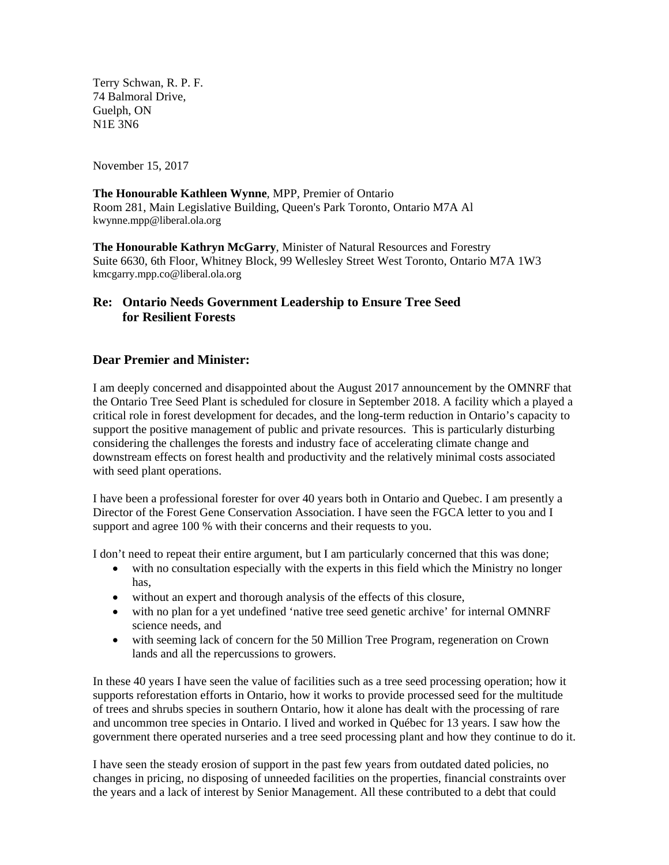Terry Schwan, R. P. F. 74 Balmoral Drive, Guelph, ON N1E 3N6

November 15, 2017

**The Honourable Kathleen Wynne**, MPP, Premier of Ontario Room 281, Main Legislative Building, Queen's Park Toronto, Ontario M7A Al kwynne.mpp@liberal.ola.org

**The Honourable Kathryn McGarry**, Minister of Natural Resources and Forestry Suite 6630, 6th Floor, Whitney Block, 99 Wellesley Street West Toronto, Ontario M7A 1W3 kmcgarry.mpp.co@liberal.ola.org

## **Re: Ontario Needs Government Leadership to Ensure Tree Seed for Resilient Forests**

## **Dear Premier and Minister:**

I am deeply concerned and disappointed about the August 2017 announcement by the OMNRF that the Ontario Tree Seed Plant is scheduled for closure in September 2018. A facility which a played a critical role in forest development for decades, and the long-term reduction in Ontario's capacity to support the positive management of public and private resources. This is particularly disturbing considering the challenges the forests and industry face of accelerating climate change and downstream effects on forest health and productivity and the relatively minimal costs associated with seed plant operations.

I have been a professional forester for over 40 years both in Ontario and Quebec. I am presently a Director of the Forest Gene Conservation Association. I have seen the FGCA letter to you and I support and agree 100 % with their concerns and their requests to you.

I don't need to repeat their entire argument, but I am particularly concerned that this was done;

- with no consultation especially with the experts in this field which the Ministry no longer has,
- without an expert and thorough analysis of the effects of this closure,
- with no plan for a yet undefined 'native tree seed genetic archive' for internal OMNRF science needs, and
- with seeming lack of concern for the 50 Million Tree Program, regeneration on Crown lands and all the repercussions to growers.

In these 40 years I have seen the value of facilities such as a tree seed processing operation; how it supports reforestation efforts in Ontario, how it works to provide processed seed for the multitude of trees and shrubs species in southern Ontario, how it alone has dealt with the processing of rare and uncommon tree species in Ontario. I lived and worked in Québec for 13 years. I saw how the government there operated nurseries and a tree seed processing plant and how they continue to do it.

I have seen the steady erosion of support in the past few years from outdated dated policies, no changes in pricing, no disposing of unneeded facilities on the properties, financial constraints over the years and a lack of interest by Senior Management. All these contributed to a debt that could